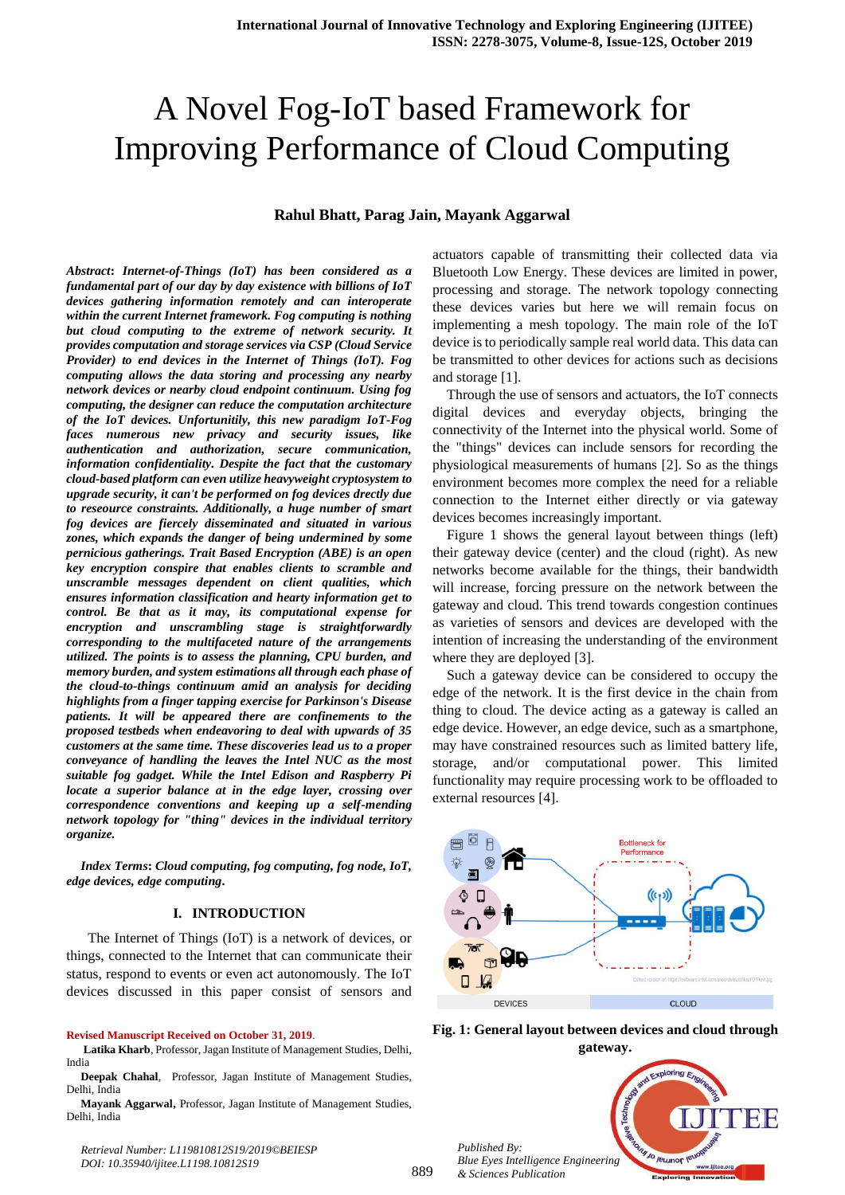# A Novel Fog-IoT based Framework for Improving Performance of Cloud Computing

# **Rahul Bhatt, Parag Jain, Mayank Aggarwal**

*Abstract***:** *Internet-of-Things (IoT) has been considered as a fundamental part of our day by day existence with billions of IoT devices gathering information remotely and can interoperate within the current Internet framework. Fog computing is nothing but cloud computing to the extreme of network security. It provides computation and storage services via CSP (Cloud Service Provider) to end devices in the Internet of Things (IoT). Fog computing allows the data storing and processing any nearby network devices or nearby cloud endpoint continuum. Using fog computing, the designer can reduce the computation architecture of the IoT devices. Unfortunitily, this new paradigm IoT-Fog faces numerous new privacy and security issues, like authentication and authorization, secure communication, information confidentiality. Despite the fact that the customary cloud-based platform can even utilize heavyweight cryptosystem to upgrade security, it can't be performed on fog devices drectly due to reseource constraints. Additionally, a huge number of smart fog devices are fiercely disseminated and situated in various zones, which expands the danger of being undermined by some pernicious gatherings. Trait Based Encryption (ABE) is an open key encryption conspire that enables clients to scramble and unscramble messages dependent on client qualities, which ensures information classification and hearty information get to control. Be that as it may, its computational expense for encryption and unscrambling stage is straightforwardly corresponding to the multifaceted nature of the arrangements utilized. The points is to assess the planning, CPU burden, and memory burden, and system estimations all through each phase of the cloud-to-things continuum amid an analysis for deciding highlights from a finger tapping exercise for Parkinson's Disease patients. It will be appeared there are confinements to the proposed testbeds when endeavoring to deal with upwards of 35 customers at the same time. These discoveries lead us to a proper conveyance of handling the leaves the Intel NUC as the most suitable fog gadget. While the Intel Edison and Raspberry Pi locate a superior balance at in the edge layer, crossing over correspondence conventions and keeping up a self-mending network topology for "thing" devices in the individual territory organize.*

*Index Terms***:** *Cloud computing, fog computing, fog node, IoT, edge devices, edge computing***.**

#### **I. INTRODUCTION**

 The Internet of Things (IoT) is a network of devices, or things, connected to the Internet that can communicate their status, respond to events or even act autonomously. The IoT devices discussed in this paper consist of sensors and

**Revised Manuscript Received on October 31, 2019**.

**Latika Kharb**, Professor, Jagan Institute of Management Studies, Delhi, India

**Deepak Chahal**, Professor, Jagan Institute of Management Studies, Delhi, India

**Mayank Aggarwal,** Professor, Jagan Institute of Management Studies, Delhi, India

*Retrieval Number: L119810812S19/2019©BEIESP DOI: 10.35940/ijitee.L1198.10812S19*

actuators capable of transmitting their collected data via Bluetooth Low Energy. These devices are limited in power, processing and storage. The network topology connecting these devices varies but here we will remain focus on implementing a mesh topology. The main role of the IoT device is to periodically sample real world data. This data can be transmitted to other devices for actions such as decisions and storage [1].

Through the use of sensors and actuators, the IoT connects digital devices and everyday objects, bringing the connectivity of the Internet into the physical world. Some of the "things" devices can include sensors for recording the physiological measurements of humans [2]. So as the things environment becomes more complex the need for a reliable connection to the Internet either directly or via gateway devices becomes increasingly important.

Figure 1 shows the general layout between things (left) their gateway device (center) and the cloud (right). As new networks become available for the things, their bandwidth will increase, forcing pressure on the network between the gateway and cloud. This trend towards congestion continues as varieties of sensors and devices are developed with the intention of increasing the understanding of the environment where they are deployed [3].

Such a gateway device can be considered to occupy the edge of the network. It is the first device in the chain from thing to cloud. The device acting as a gateway is called an edge device. However, an edge device, such as a smartphone, may have constrained resources such as limited battery life, storage, and/or computational power. This limited functionality may require processing work to be offloaded to external resources [4].







*& Sciences Publication* 

889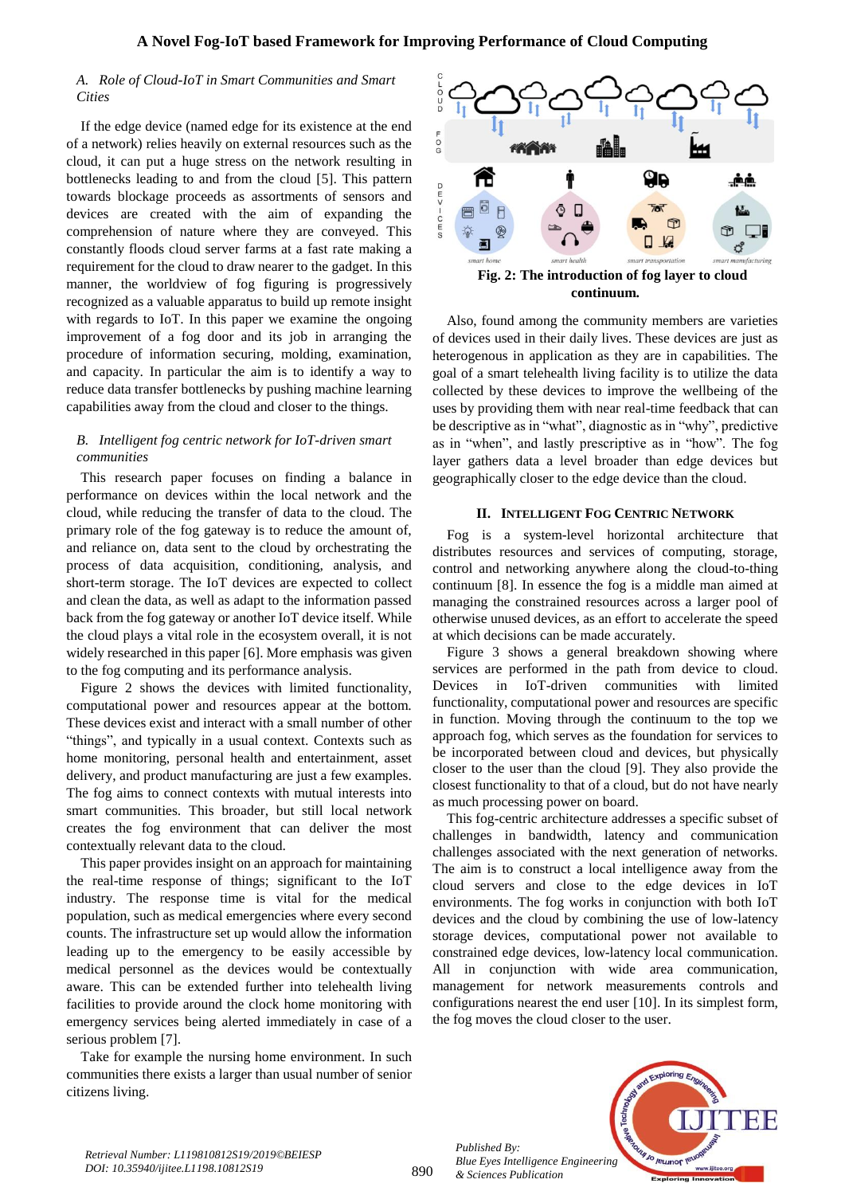## *A. Role of Cloud-IoT in Smart Communities and Smart Cities*

If the edge device (named edge for its existence at the end of a network) relies heavily on external resources such as the cloud, it can put a huge stress on the network resulting in bottlenecks leading to and from the cloud [5]. This pattern towards blockage proceeds as assortments of sensors and devices are created with the aim of expanding the comprehension of nature where they are conveyed. This constantly floods cloud server farms at a fast rate making a requirement for the cloud to draw nearer to the gadget. In this manner, the worldview of fog figuring is progressively recognized as a valuable apparatus to build up remote insight with regards to IoT. In this paper we examine the ongoing improvement of a fog door and its job in arranging the procedure of information securing, molding, examination, and capacity. In particular the aim is to identify a way to reduce data transfer bottlenecks by pushing machine learning capabilities away from the cloud and closer to the things.

## *B. Intelligent fog centric network for IoT-driven smart communities*

This research paper focuses on finding a balance in performance on devices within the local network and the cloud, while reducing the transfer of data to the cloud. The primary role of the fog gateway is to reduce the amount of, and reliance on, data sent to the cloud by orchestrating the process of data acquisition, conditioning, analysis, and short-term storage. The IoT devices are expected to collect and clean the data, as well as adapt to the information passed back from the fog gateway or another IoT device itself. While the cloud plays a vital role in the ecosystem overall, it is not widely researched in this paper [6]. More emphasis was given to the fog computing and its performance analysis.

Figure 2 shows the devices with limited functionality, computational power and resources appear at the bottom. These devices exist and interact with a small number of other "things", and typically in a usual context. Contexts such as home monitoring, personal health and entertainment, asset delivery, and product manufacturing are just a few examples. The fog aims to connect contexts with mutual interests into smart communities. This broader, but still local network creates the fog environment that can deliver the most contextually relevant data to the cloud.

This paper provides insight on an approach for maintaining the real-time response of things; significant to the IoT industry. The response time is vital for the medical population, such as medical emergencies where every second counts. The infrastructure set up would allow the information leading up to the emergency to be easily accessible by medical personnel as the devices would be contextually aware. This can be extended further into telehealth living facilities to provide around the clock home monitoring with emergency services being alerted immediately in case of a serious problem [7].

Take for example the nursing home environment. In such communities there exists a larger than usual number of senior citizens living.



Also, found among the community members are varieties of devices used in their daily lives. These devices are just as heterogenous in application as they are in capabilities. The goal of a smart telehealth living facility is to utilize the data collected by these devices to improve the wellbeing of the uses by providing them with near real-time feedback that can be descriptive as in "what", diagnostic as in "why", predictive as in "when", and lastly prescriptive as in "how". The fog layer gathers data a level broader than edge devices but geographically closer to the edge device than the cloud.

## **II. INTELLIGENT FOG CENTRIC NETWORK**

Fog is a system-level horizontal architecture that distributes resources and services of computing, storage, control and networking anywhere along the cloud-to-thing continuum [8]. In essence the fog is a middle man aimed at managing the constrained resources across a larger pool of otherwise unused devices, as an effort to accelerate the speed at which decisions can be made accurately.

Figure 3 shows a general breakdown showing where services are performed in the path from device to cloud. Devices in IoT-driven communities with limited functionality, computational power and resources are specific in function. Moving through the continuum to the top we approach fog, which serves as the foundation for services to be incorporated between cloud and devices, but physically closer to the user than the cloud [9]. They also provide the closest functionality to that of a cloud, but do not have nearly as much processing power on board.

This fog-centric architecture addresses a specific subset of challenges in bandwidth, latency and communication challenges associated with the next generation of networks. The aim is to construct a local intelligence away from the cloud servers and close to the edge devices in IoT environments. The fog works in conjunction with both IoT devices and the cloud by combining the use of low-latency storage devices, computational power not available to constrained edge devices, low-latency local communication. All in conjunction with wide area communication, management for network measurements controls and configurations nearest the end user [10]. In its simplest form, the fog moves the cloud closer to the user.



*Retrieval Number: L119810812S19/2019©BEIESP DOI: 10.35940/ijitee.L1198.10812S19*

890

*Published By:*

*& Sciences Publication*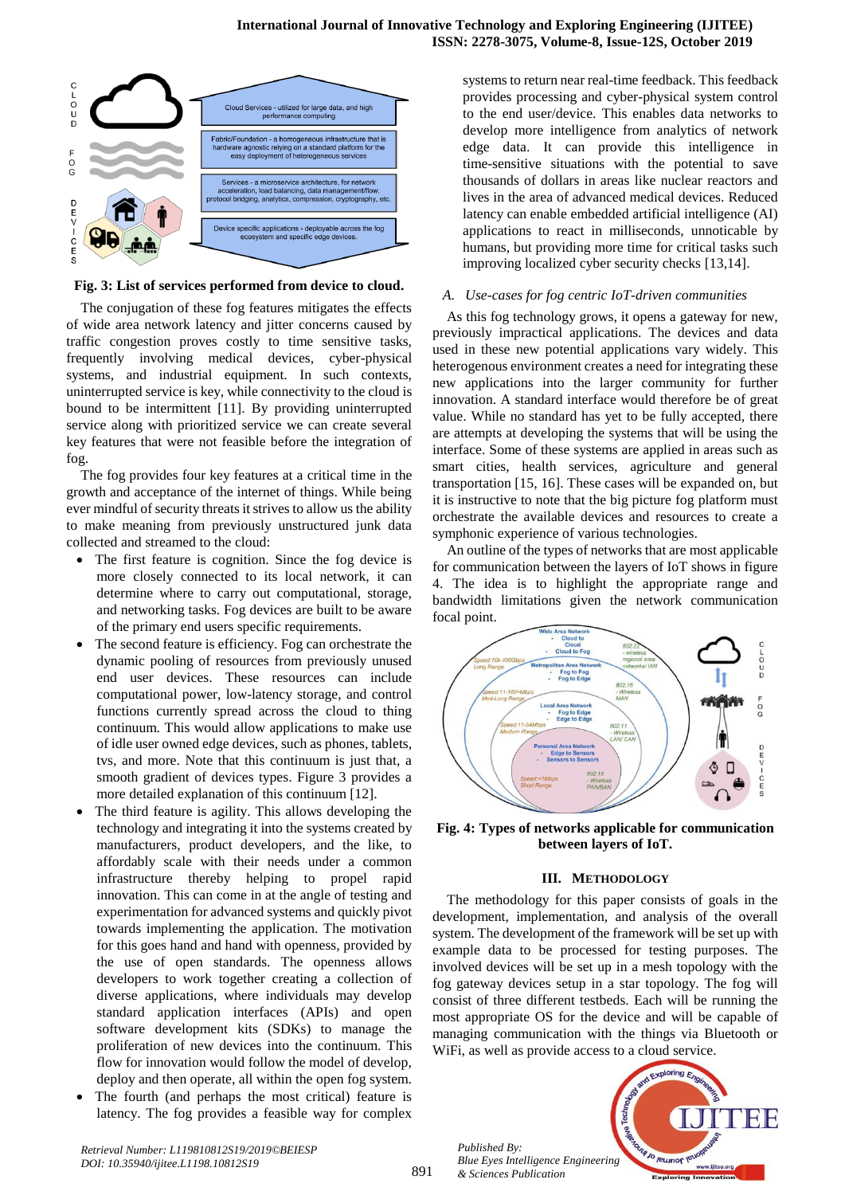

## **Fig. 3: List of services performed from device to cloud.**

The conjugation of these fog features mitigates the effects of wide area network latency and jitter concerns caused by traffic congestion proves costly to time sensitive tasks, frequently involving medical devices, cyber-physical systems, and industrial equipment. In such contexts, uninterrupted service is key, while connectivity to the cloud is bound to be intermittent [11]. By providing uninterrupted service along with prioritized service we can create several key features that were not feasible before the integration of fog.

The fog provides four key features at a critical time in the growth and acceptance of the internet of things. While being ever mindful of security threats it strives to allow us the ability to make meaning from previously unstructured junk data collected and streamed to the cloud:

- The first feature is cognition. Since the fog device is more closely connected to its local network, it can determine where to carry out computational, storage, and networking tasks. Fog devices are built to be aware of the primary end users specific requirements.
- The second feature is efficiency. Fog can orchestrate the dynamic pooling of resources from previously unused end user devices. These resources can include computational power, low-latency storage, and control functions currently spread across the cloud to thing continuum. This would allow applications to make use of idle user owned edge devices, such as phones, tablets, tvs, and more. Note that this continuum is just that, a smooth gradient of devices types. Figure 3 provides a more detailed explanation of this continuum [12].
- The third feature is agility. This allows developing the technology and integrating it into the systems created by manufacturers, product developers, and the like, to affordably scale with their needs under a common infrastructure thereby helping to propel rapid innovation. This can come in at the angle of testing and experimentation for advanced systems and quickly pivot towards implementing the application. The motivation for this goes hand and hand with openness, provided by the use of open standards. The openness allows developers to work together creating a collection of diverse applications, where individuals may develop standard application interfaces (APIs) and open software development kits (SDKs) to manage the proliferation of new devices into the continuum. This flow for innovation would follow the model of develop, deploy and then operate, all within the open fog system.
- The fourth (and perhaps the most critical) feature is latency. The fog provides a feasible way for complex

systems to return near real-time feedback. This feedback provides processing and cyber-physical system control to the end user/device. This enables data networks to develop more intelligence from analytics of network edge data. It can provide this intelligence in time-sensitive situations with the potential to save thousands of dollars in areas like nuclear reactors and lives in the area of advanced medical devices. Reduced latency can enable embedded artificial intelligence (AI) applications to react in milliseconds, unnoticable by humans, but providing more time for critical tasks such improving localized cyber security checks [13,14].

#### *A. Use-cases for fog centric IoT-driven communities*

As this fog technology grows, it opens a gateway for new, previously impractical applications. The devices and data used in these new potential applications vary widely. This heterogenous environment creates a need for integrating these new applications into the larger community for further innovation. A standard interface would therefore be of great value. While no standard has yet to be fully accepted, there are attempts at developing the systems that will be using the interface. Some of these systems are applied in areas such as smart cities, health services, agriculture and general transportation [15, 16]. These cases will be expanded on, but it is instructive to note that the big picture fog platform must orchestrate the available devices and resources to create a symphonic experience of various technologies.

An outline of the types of networks that are most applicable for communication between the layers of IoT shows in figure 4. The idea is to highlight the appropriate range and bandwidth limitations given the network communication focal point.



**Fig. 4: Types of networks applicable for communication between layers of IoT.**

## **III. METHODOLOGY**

The methodology for this paper consists of goals in the development, implementation, and analysis of the overall system. The development of the framework will be set up with example data to be processed for testing purposes. The involved devices will be set up in a mesh topology with the fog gateway devices setup in a star topology. The fog will consist of three different testbeds. Each will be running the most appropriate OS for the device and will be capable of managing communication with the things via Bluetooth or WiFi, as well as provide access to a cloud service.

*Published By: Blue Eyes Intelligence Engineering & Sciences Publication* 

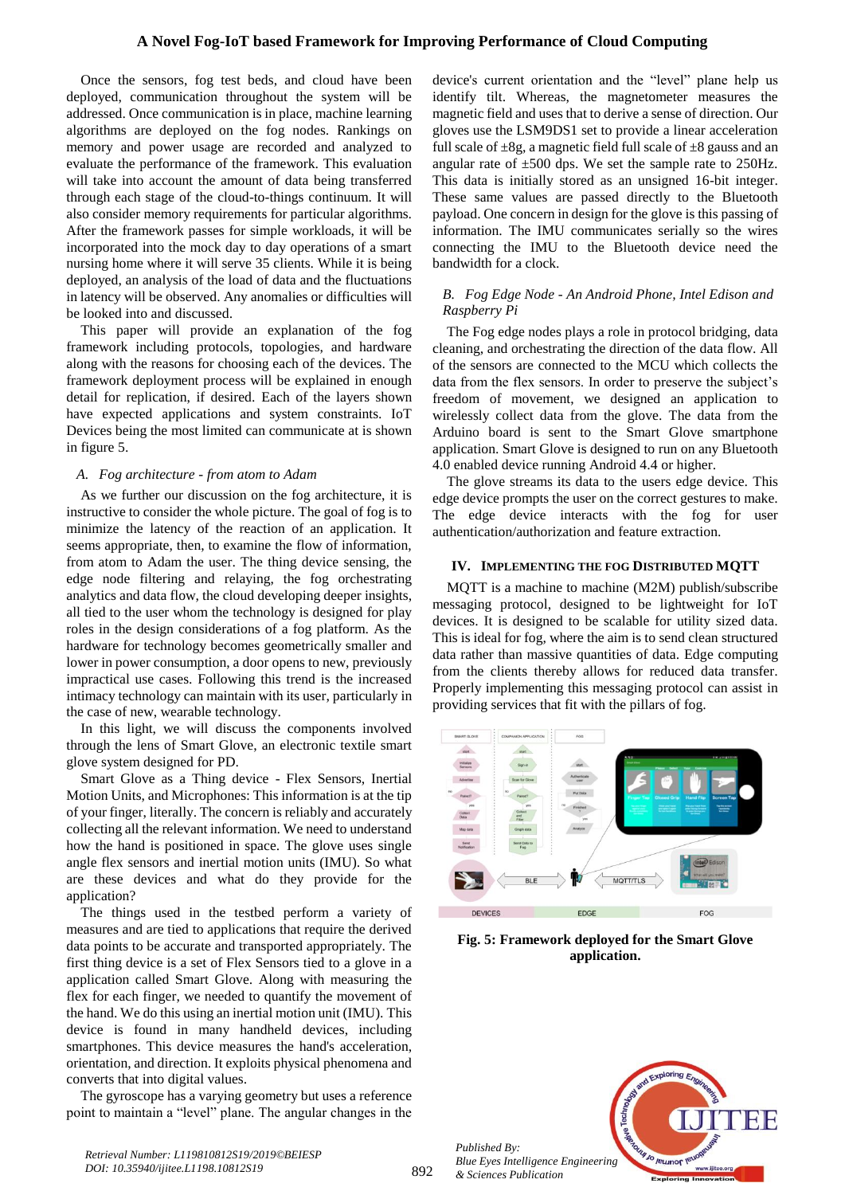## **A Novel Fog-IoT based Framework for Improving Performance of Cloud Computing**

Once the sensors, fog test beds, and cloud have been deployed, communication throughout the system will be addressed. Once communication is in place, machine learning algorithms are deployed on the fog nodes. Rankings on memory and power usage are recorded and analyzed to evaluate the performance of the framework. This evaluation will take into account the amount of data being transferred through each stage of the cloud-to-things continuum. It will also consider memory requirements for particular algorithms. After the framework passes for simple workloads, it will be incorporated into the mock day to day operations of a smart nursing home where it will serve 35 clients. While it is being deployed, an analysis of the load of data and the fluctuations in latency will be observed. Any anomalies or difficulties will be looked into and discussed.

This paper will provide an explanation of the fog framework including protocols, topologies, and hardware along with the reasons for choosing each of the devices. The framework deployment process will be explained in enough detail for replication, if desired. Each of the layers shown have expected applications and system constraints. IoT Devices being the most limited can communicate at is shown in figure 5.

## *A. Fog architecture - from atom to Adam*

As we further our discussion on the fog architecture, it is instructive to consider the whole picture. The goal of fog is to minimize the latency of the reaction of an application. It seems appropriate, then, to examine the flow of information, from atom to Adam the user. The thing device sensing, the edge node filtering and relaying, the fog orchestrating analytics and data flow, the cloud developing deeper insights, all tied to the user whom the technology is designed for play roles in the design considerations of a fog platform. As the hardware for technology becomes geometrically smaller and lower in power consumption, a door opens to new, previously impractical use cases. Following this trend is the increased intimacy technology can maintain with its user, particularly in the case of new, wearable technology.

In this light, we will discuss the components involved through the lens of Smart Glove, an electronic textile smart glove system designed for PD.

Smart Glove as a Thing device - Flex Sensors, Inertial Motion Units, and Microphones: This information is at the tip of your finger, literally. The concern is reliably and accurately collecting all the relevant information. We need to understand how the hand is positioned in space. The glove uses single angle flex sensors and inertial motion units (IMU). So what are these devices and what do they provide for the application?

The things used in the testbed perform a variety of measures and are tied to applications that require the derived data points to be accurate and transported appropriately. The first thing device is a set of Flex Sensors tied to a glove in a application called Smart Glove. Along with measuring the flex for each finger, we needed to quantify the movement of the hand. We do this using an inertial motion unit (IMU). This device is found in many handheld devices, including smartphones. This device measures the hand's acceleration, orientation, and direction. It exploits physical phenomena and converts that into digital values.

The gyroscope has a varying geometry but uses a reference point to maintain a "level" plane. The angular changes in the device's current orientation and the "level" plane help us identify tilt. Whereas, the magnetometer measures the magnetic field and uses that to derive a sense of direction. Our gloves use the LSM9DS1 set to provide a linear acceleration full scale of  $\pm 8g$ , a magnetic field full scale of  $\pm 8$  gauss and an angular rate of  $\pm 500$  dps. We set the sample rate to 250Hz. This data is initially stored as an unsigned 16-bit integer. These same values are passed directly to the Bluetooth payload. One concern in design for the glove is this passing of information. The IMU communicates serially so the wires connecting the IMU to the Bluetooth device need the bandwidth for a clock.

## *B. Fog Edge Node - An Android Phone, Intel Edison and Raspberry Pi*

The Fog edge nodes plays a role in protocol bridging, data cleaning, and orchestrating the direction of the data flow. All of the sensors are connected to the MCU which collects the data from the flex sensors. In order to preserve the subject's freedom of movement, we designed an application to wirelessly collect data from the glove. The data from the Arduino board is sent to the Smart Glove smartphone application. Smart Glove is designed to run on any Bluetooth 4.0 enabled device running Android 4.4 or higher.

The glove streams its data to the users edge device. This edge device prompts the user on the correct gestures to make. The edge device interacts with the fog for user authentication/authorization and feature extraction.

#### **IV. IMPLEMENTING THE FOG DISTRIBUTED MQTT**

MQTT is a machine to machine (M2M) publish/subscribe messaging protocol, designed to be lightweight for IoT devices. It is designed to be scalable for utility sized data. This is ideal for fog, where the aim is to send clean structured data rather than massive quantities of data. Edge computing from the clients thereby allows for reduced data transfer. Properly implementing this messaging protocol can assist in providing services that fit with the pillars of fog.



**Fig. 5: Framework deployed for the Smart Glove application.**



*Published By:*

*& Sciences Publication*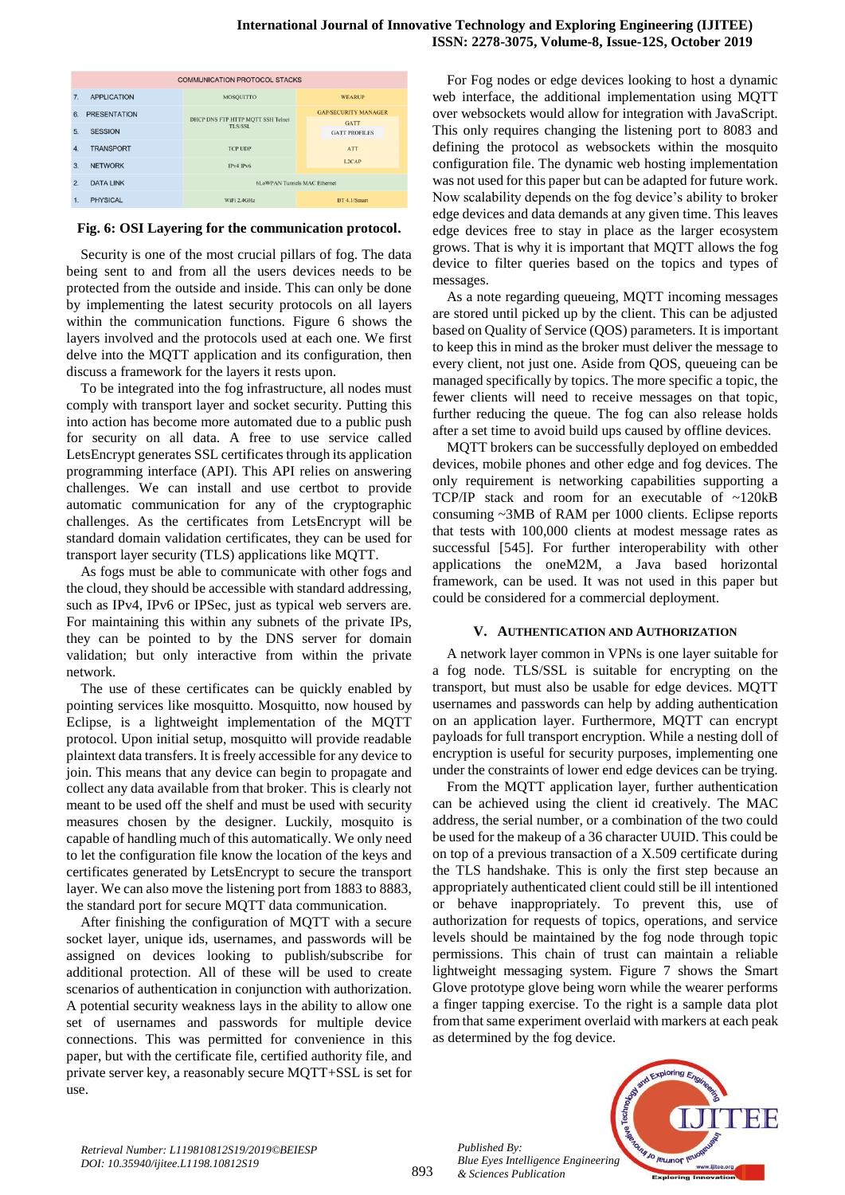#### **International Journal of Innovative Technology and Exploring Engineering (IJITEE) ISSN: 2278-3075, Volume-8, Issue-12S, October 2019**

| <b>COMMUNICATION PROTOCOL STACKS</b> |                     |                                              |  |                                     |
|--------------------------------------|---------------------|----------------------------------------------|--|-------------------------------------|
| 7 <sup>2</sup>                       | <b>APPLICATION</b>  | <b>MOSQUITTO</b>                             |  | <b>WEARUP</b>                       |
| 6.                                   | <b>PRESENTATION</b> | DHCP DNS FTP HTTP MOTT SSH Telnet<br>TLS/SSL |  | <b>GAP/SECURITY MANAGER</b>         |
| 5.                                   | <b>SESSION</b>      |                                              |  | <b>GATT</b><br><b>GATT PROFILES</b> |
| 4.                                   | <b>TRANSPORT</b>    | <b>TCP UDP</b>                               |  | <b>ATT</b>                          |
| 3.                                   | <b>NETWORK</b>      | IPv4 IPv6                                    |  | L2CAP                               |
| 2.                                   | <b>DATA LINK</b>    | 6LoWPAN Tunnels MAC Ethernet                 |  |                                     |
| 1.                                   | <b>PHYSICAL</b>     | WiFi 2.4GHz                                  |  | BT 4.1/Smart                        |

## **Fig. 6: OSI Layering for the communication protocol.**

Security is one of the most crucial pillars of fog. The data being sent to and from all the users devices needs to be protected from the outside and inside. This can only be done by implementing the latest security protocols on all layers within the communication functions. Figure 6 shows the layers involved and the protocols used at each one. We first delve into the MQTT application and its configuration, then discuss a framework for the layers it rests upon.

To be integrated into the fog infrastructure, all nodes must comply with transport layer and socket security. Putting this into action has become more automated due to a public push for security on all data. A free to use service called LetsEncrypt generates SSL certificates through its application programming interface (API). This API relies on answering challenges. We can install and use certbot to provide automatic communication for any of the cryptographic challenges. As the certificates from LetsEncrypt will be standard domain validation certificates, they can be used for transport layer security (TLS) applications like MQTT.

As fogs must be able to communicate with other fogs and the cloud, they should be accessible with standard addressing, such as IPv4, IPv6 or IPSec, just as typical web servers are. For maintaining this within any subnets of the private IPs, they can be pointed to by the DNS server for domain validation; but only interactive from within the private network.

The use of these certificates can be quickly enabled by pointing services like mosquitto. Mosquitto, now housed by Eclipse, is a lightweight implementation of the MQTT protocol. Upon initial setup, mosquitto will provide readable plaintext data transfers. It is freely accessible for any device to join. This means that any device can begin to propagate and collect any data available from that broker. This is clearly not meant to be used off the shelf and must be used with security measures chosen by the designer. Luckily, mosquito is capable of handling much of this automatically. We only need to let the configuration file know the location of the keys and certificates generated by LetsEncrypt to secure the transport layer. We can also move the listening port from 1883 to 8883, the standard port for secure MQTT data communication.

After finishing the configuration of MQTT with a secure socket layer, unique ids, usernames, and passwords will be assigned on devices looking to publish/subscribe for additional protection. All of these will be used to create scenarios of authentication in conjunction with authorization. A potential security weakness lays in the ability to allow one set of usernames and passwords for multiple device connections. This was permitted for convenience in this paper, but with the certificate file, certified authority file, and private server key, a reasonably secure MQTT+SSL is set for use.

For Fog nodes or edge devices looking to host a dynamic web interface, the additional implementation using MQTT over websockets would allow for integration with JavaScript. This only requires changing the listening port to 8083 and defining the protocol as websockets within the mosquito configuration file. The dynamic web hosting implementation was not used for this paper but can be adapted for future work. Now scalability depends on the fog device's ability to broker edge devices and data demands at any given time. This leaves edge devices free to stay in place as the larger ecosystem grows. That is why it is important that MQTT allows the fog device to filter queries based on the topics and types of messages.

As a note regarding queueing, MQTT incoming messages are stored until picked up by the client. This can be adjusted based on Quality of Service (QOS) parameters. It is important to keep this in mind as the broker must deliver the message to every client, not just one. Aside from QOS, queueing can be managed specifically by topics. The more specific a topic, the fewer clients will need to receive messages on that topic, further reducing the queue. The fog can also release holds after a set time to avoid build ups caused by offline devices.

MQTT brokers can be successfully deployed on embedded devices, mobile phones and other edge and fog devices. The only requirement is networking capabilities supporting a TCP/IP stack and room for an executable of ~120kB consuming ~3MB of RAM per 1000 clients. Eclipse reports that tests with 100,000 clients at modest message rates as successful [545]. For further interoperability with other applications the oneM2M, a Java based horizontal framework, can be used. It was not used in this paper but could be considered for a commercial deployment.

## **V. AUTHENTICATION AND AUTHORIZATION**

A network layer common in VPNs is one layer suitable for a fog node. TLS/SSL is suitable for encrypting on the transport, but must also be usable for edge devices. MQTT usernames and passwords can help by adding authentication on an application layer. Furthermore, MQTT can encrypt payloads for full transport encryption. While a nesting doll of encryption is useful for security purposes, implementing one under the constraints of lower end edge devices can be trying.

From the MQTT application layer, further authentication can be achieved using the client id creatively. The MAC address, the serial number, or a combination of the two could be used for the makeup of a 36 character UUID. This could be on top of a previous transaction of a X.509 certificate during the TLS handshake. This is only the first step because an appropriately authenticated client could still be ill intentioned or behave inappropriately. To prevent this, use of authorization for requests of topics, operations, and service levels should be maintained by the fog node through topic permissions. This chain of trust can maintain a reliable lightweight messaging system. Figure 7 shows the Smart Glove prototype glove being worn while the wearer performs a finger tapping exercise. To the right is a sample data plot from that same experiment overlaid with markers at each peak as determined by the fog device.



893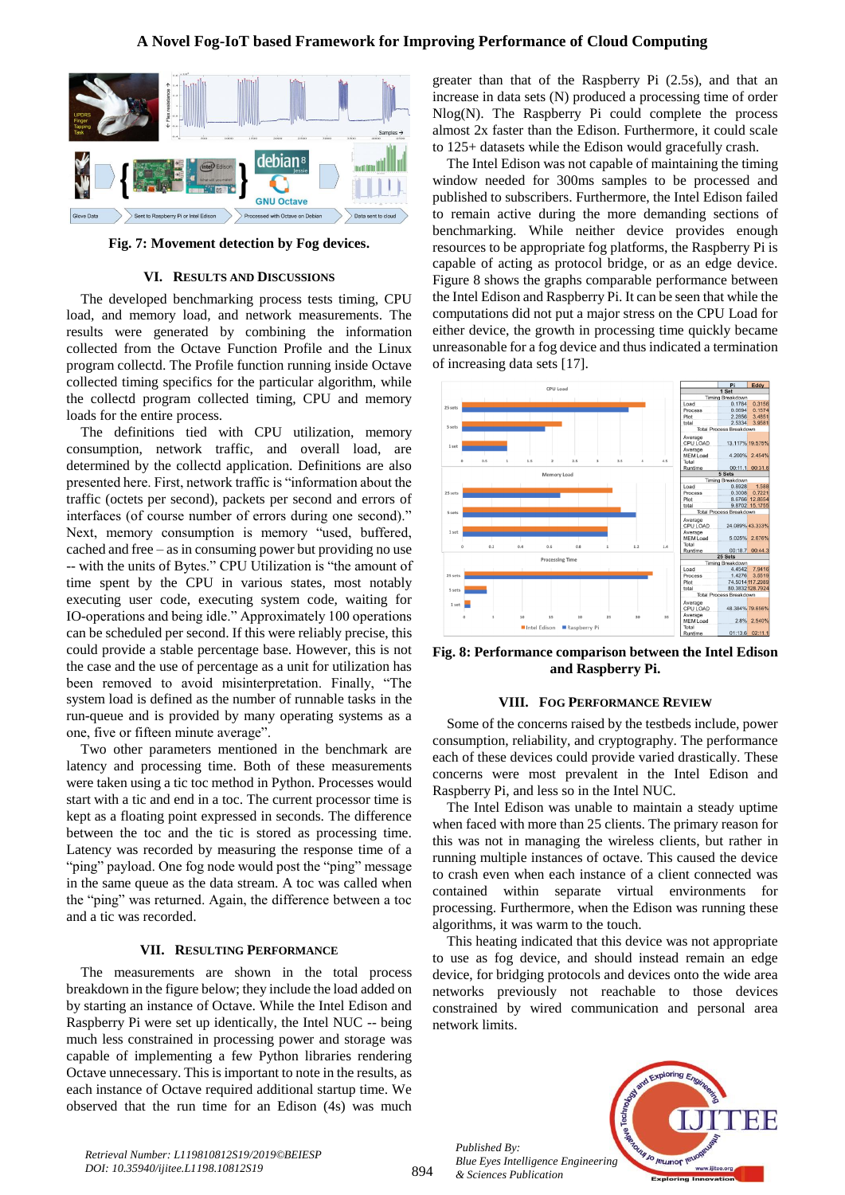# **A Novel Fog-IoT based Framework for Improving Performance of Cloud Computing**



**Fig. 7: Movement detection by Fog devices.**

#### **VI. RESULTS AND DISCUSSIONS**

The developed benchmarking process tests timing, CPU load, and memory load, and network measurements. The results were generated by combining the information collected from the Octave Function Profile and the Linux program collectd. The Profile function running inside Octave collected timing specifics for the particular algorithm, while the collectd program collected timing, CPU and memory loads for the entire process.

The definitions tied with CPU utilization, memory consumption, network traffic, and overall load, are determined by the collectd application. Definitions are also presented here. First, network traffic is "information about the traffic (octets per second), packets per second and errors of interfaces (of course number of errors during one second)." Next, memory consumption is memory "used, buffered, cached and free – as in consuming power but providing no use -- with the units of Bytes." CPU Utilization is "the amount of time spent by the CPU in various states, most notably executing user code, executing system code, waiting for IO-operations and being idle." Approximately 100 operations can be scheduled per second. If this were reliably precise, this could provide a stable percentage base. However, this is not the case and the use of percentage as a unit for utilization has been removed to avoid misinterpretation. Finally, "The system load is defined as the number of runnable tasks in the run-queue and is provided by many operating systems as a one, five or fifteen minute average".

Two other parameters mentioned in the benchmark are latency and processing time. Both of these measurements were taken using a tic toc method in Python. Processes would start with a tic and end in a toc. The current processor time is kept as a floating point expressed in seconds. The difference between the toc and the tic is stored as processing time. Latency was recorded by measuring the response time of a "ping" payload. One fog node would post the "ping" message in the same queue as the data stream. A toc was called when the "ping" was returned. Again, the difference between a toc and a tic was recorded.

#### **VII. RESULTING PERFORMANCE**

The measurements are shown in the total process breakdown in the figure below; they include the load added on by starting an instance of Octave. While the Intel Edison and Raspberry Pi were set up identically, the Intel NUC -- being much less constrained in processing power and storage was capable of implementing a few Python libraries rendering Octave unnecessary. This is important to note in the results, as each instance of Octave required additional startup time. We observed that the run time for an Edison (4s) was much

greater than that of the Raspberry Pi (2.5s), and that an increase in data sets (N) produced a processing time of order Nlog(N). The Raspberry Pi could complete the process almost 2x faster than the Edison. Furthermore, it could scale to 125+ datasets while the Edison would gracefully crash.

The Intel Edison was not capable of maintaining the timing window needed for 300ms samples to be processed and published to subscribers. Furthermore, the Intel Edison failed to remain active during the more demanding sections of benchmarking. While neither device provides enough resources to be appropriate fog platforms, the Raspberry Pi is capable of acting as protocol bridge, or as an edge device. Figure 8 shows the graphs comparable performance between the Intel Edison and Raspberry Pi. It can be seen that while the computations did not put a major stress on the CPU Load for either device, the growth in processing time quickly became unreasonable for a fog device and thus indicated a termination of increasing data sets [17].



**Fig. 8: Performance comparison between the Intel Edison and Raspberry Pi.**

#### **VIII. FOG PERFORMANCE REVIEW**

Some of the concerns raised by the testbeds include, power consumption, reliability, and cryptography. The performance each of these devices could provide varied drastically. These concerns were most prevalent in the Intel Edison and Raspberry Pi, and less so in the Intel NUC.

The Intel Edison was unable to maintain a steady uptime when faced with more than 25 clients. The primary reason for this was not in managing the wireless clients, but rather in running multiple instances of octave. This caused the device to crash even when each instance of a client connected was contained within separate virtual environments for processing. Furthermore, when the Edison was running these algorithms, it was warm to the touch.

This heating indicated that this device was not appropriate to use as fog device, and should instead remain an edge device, for bridging protocols and devices onto the wide area networks previously not reachable to those devices constrained by wired communication and personal area network limits.

*Published By: Blue Eyes Intelligence Engineering & Sciences Publication*